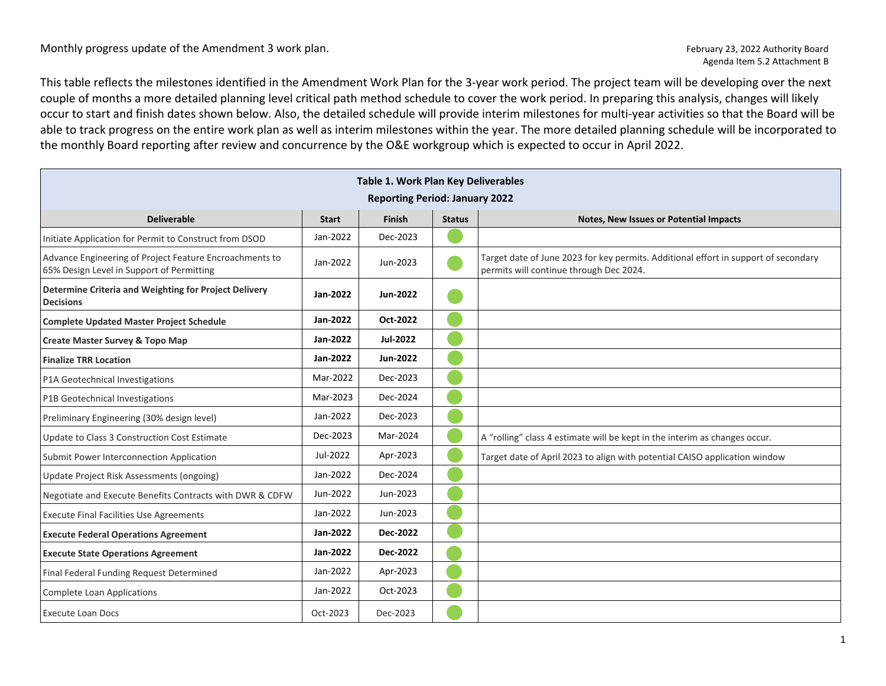## Monthly progress update of the Amendment 3 work plan. February 23, 2022 Authority Board

This table reflects the milestones identified in the Amendment Work Plan for the 3-year work period. The project team will be developing over the next couple of months a more detailed planning level critical path method schedule to cover the work period. In preparing this analysis, changes will likely occur to start and finish dates shown below. Also, the detailed schedule will provide interim milestones for multi-year activities so that the Board will be able to track progress on the entire work plan as well as interim milestones within the year. The more detailed planning schedule will be incorporated to the monthly Board reporting after review and concurrence by the O&E workgroup which is expected to occur in April 2022.

| <b>Table 1. Work Plan Key Deliverables</b><br><b>Reporting Period: January 2022</b>                  |              |               |               |                                                                                                                                |  |  |  |  |
|------------------------------------------------------------------------------------------------------|--------------|---------------|---------------|--------------------------------------------------------------------------------------------------------------------------------|--|--|--|--|
| <b>Deliverable</b>                                                                                   | <b>Start</b> | <b>Finish</b> | <b>Status</b> | Notes, New Issues or Potential Impacts                                                                                         |  |  |  |  |
| Initiate Application for Permit to Construct from DSOD                                               | Jan-2022     | Dec-2023      |               |                                                                                                                                |  |  |  |  |
| Advance Engineering of Project Feature Encroachments to<br>65% Design Level in Support of Permitting | Jan-2022     | Jun-2023      |               | Target date of June 2023 for key permits. Additional effort in support of secondary<br>permits will continue through Dec 2024. |  |  |  |  |
| Determine Criteria and Weighting for Project Delivery<br><b>Decisions</b>                            | Jan-2022     | Jun-2022      |               |                                                                                                                                |  |  |  |  |
| <b>Complete Updated Master Project Schedule</b>                                                      | Jan-2022     | Oct-2022      |               |                                                                                                                                |  |  |  |  |
| Create Master Survey & Topo Map                                                                      | Jan-2022     | Jul-2022      |               |                                                                                                                                |  |  |  |  |
| <b>Finalize TRR Location</b>                                                                         | Jan-2022     | Jun-2022      |               |                                                                                                                                |  |  |  |  |
| P1A Geotechnical Investigations                                                                      | Mar-2022     | Dec-2023      |               |                                                                                                                                |  |  |  |  |
| P1B Geotechnical Investigations                                                                      | Mar-2023     | Dec-2024      |               |                                                                                                                                |  |  |  |  |
| Preliminary Engineering (30% design level)                                                           | Jan-2022     | Dec-2023      |               |                                                                                                                                |  |  |  |  |
| Update to Class 3 Construction Cost Estimate                                                         | Dec-2023     | Mar-2024      |               | A "rolling" class 4 estimate will be kept in the interim as changes occur.                                                     |  |  |  |  |
| Submit Power Interconnection Application                                                             | Jul-2022     | Apr-2023      |               | Target date of April 2023 to align with potential CAISO application window                                                     |  |  |  |  |
| Update Project Risk Assessments (ongoing)                                                            | Jan-2022     | Dec-2024      |               |                                                                                                                                |  |  |  |  |
| Negotiate and Execute Benefits Contracts with DWR & CDFW                                             | Jun-2022     | Jun-2023      |               |                                                                                                                                |  |  |  |  |
| <b>Execute Final Facilities Use Agreements</b>                                                       | Jan-2022     | Jun-2023      |               |                                                                                                                                |  |  |  |  |
| <b>Execute Federal Operations Agreement</b>                                                          | Jan-2022     | Dec-2022      |               |                                                                                                                                |  |  |  |  |
| <b>Execute State Operations Agreement</b>                                                            | Jan-2022     | Dec-2022      |               |                                                                                                                                |  |  |  |  |
| Final Federal Funding Request Determined                                                             | Jan-2022     | Apr-2023      |               |                                                                                                                                |  |  |  |  |
| <b>Complete Loan Applications</b>                                                                    | Jan-2022     | Oct-2023      |               |                                                                                                                                |  |  |  |  |
| <b>Execute Loan Docs</b>                                                                             | Oct-2023     | Dec-2023      |               |                                                                                                                                |  |  |  |  |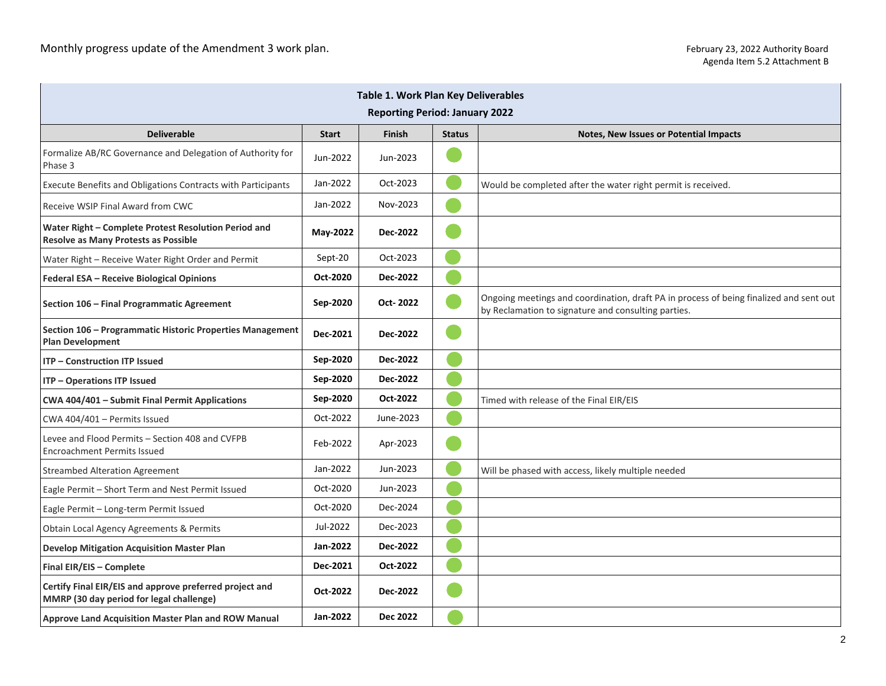| Table 1. Work Plan Key Deliverables                                                                 |              |               |               |                                                                                                                                               |  |  |  |  |
|-----------------------------------------------------------------------------------------------------|--------------|---------------|---------------|-----------------------------------------------------------------------------------------------------------------------------------------------|--|--|--|--|
| <b>Reporting Period: January 2022</b>                                                               |              |               |               |                                                                                                                                               |  |  |  |  |
| <b>Deliverable</b>                                                                                  | <b>Start</b> | <b>Finish</b> | <b>Status</b> | <b>Notes, New Issues or Potential Impacts</b>                                                                                                 |  |  |  |  |
| Formalize AB/RC Governance and Delegation of Authority for<br>Phase 3                               | Jun-2022     | Jun-2023      |               |                                                                                                                                               |  |  |  |  |
| Execute Benefits and Obligations Contracts with Participants                                        | Jan-2022     | Oct-2023      |               | Would be completed after the water right permit is received.                                                                                  |  |  |  |  |
| Receive WSIP Final Award from CWC                                                                   | Jan-2022     | Nov-2023      |               |                                                                                                                                               |  |  |  |  |
| Water Right - Complete Protest Resolution Period and<br>Resolve as Many Protests as Possible        | May-2022     | Dec-2022      |               |                                                                                                                                               |  |  |  |  |
| Water Right - Receive Water Right Order and Permit                                                  | Sept-20      | Oct-2023      |               |                                                                                                                                               |  |  |  |  |
| Federal ESA - Receive Biological Opinions                                                           | Oct-2020     | Dec-2022      |               |                                                                                                                                               |  |  |  |  |
| Section 106 - Final Programmatic Agreement                                                          | Sep-2020     | Oct-2022      |               | Ongoing meetings and coordination, draft PA in process of being finalized and sent out<br>by Reclamation to signature and consulting parties. |  |  |  |  |
| Section 106 - Programmatic Historic Properties Management<br><b>Plan Development</b>                | Dec-2021     | Dec-2022      |               |                                                                                                                                               |  |  |  |  |
| <b>ITP - Construction ITP Issued</b>                                                                | Sep-2020     | Dec-2022      |               |                                                                                                                                               |  |  |  |  |
| ITP - Operations ITP Issued                                                                         | Sep-2020     | Dec-2022      |               |                                                                                                                                               |  |  |  |  |
| CWA 404/401 - Submit Final Permit Applications                                                      | Sep-2020     | Oct-2022      |               | Timed with release of the Final EIR/EIS                                                                                                       |  |  |  |  |
| CWA 404/401 - Permits Issued                                                                        | Oct-2022     | June-2023     |               |                                                                                                                                               |  |  |  |  |
| Levee and Flood Permits - Section 408 and CVFPB<br><b>Encroachment Permits Issued</b>               | Feb-2022     | Apr-2023      |               |                                                                                                                                               |  |  |  |  |
| <b>Streambed Alteration Agreement</b>                                                               | Jan-2022     | Jun-2023      |               | Will be phased with access, likely multiple needed                                                                                            |  |  |  |  |
| Eagle Permit - Short Term and Nest Permit Issued                                                    | Oct-2020     | Jun-2023      |               |                                                                                                                                               |  |  |  |  |
| Eagle Permit - Long-term Permit Issued                                                              | Oct-2020     | Dec-2024      |               |                                                                                                                                               |  |  |  |  |
| Obtain Local Agency Agreements & Permits                                                            | Jul-2022     | Dec-2023      |               |                                                                                                                                               |  |  |  |  |
| <b>Develop Mitigation Acquisition Master Plan</b>                                                   | Jan-2022     | Dec-2022      |               |                                                                                                                                               |  |  |  |  |
| Final EIR/EIS - Complete                                                                            | Dec-2021     | Oct-2022      |               |                                                                                                                                               |  |  |  |  |
| Certify Final EIR/EIS and approve preferred project and<br>MMRP (30 day period for legal challenge) | Oct-2022     | Dec-2022      |               |                                                                                                                                               |  |  |  |  |
| Approve Land Acquisition Master Plan and ROW Manual                                                 | Jan-2022     | Dec 2022      |               |                                                                                                                                               |  |  |  |  |